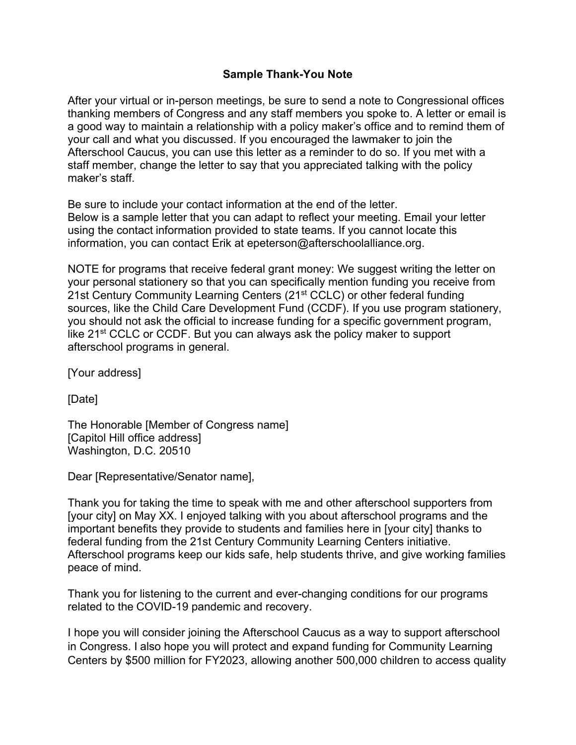## **Sample Thank-You Note**

After your virtual or in-person meetings, be sure to send a note to Congressional offices thanking members of Congress and any staff members you spoke to. A letter or email is a good way to maintain a relationship with a policy maker's office and to remind them of your call and what you discussed. If you encouraged the lawmaker to join the Afterschool Caucus, you can use this letter as a reminder to do so. If you met with a staff member, change the letter to say that you appreciated talking with the policy maker's staff.

Be sure to include your contact information at the end of the letter. Below is a sample letter that you can adapt to reflect your meeting. Email your letter using the contact information provided to state teams. If you cannot locate this information, you can contact Erik at epeterson@afterschoolalliance.org.

NOTE for programs that receive federal grant money: We suggest writing the letter on your personal stationery so that you can specifically mention funding you receive from 21st Century Community Learning Centers (21<sup>st</sup> CCLC) or other federal funding sources, like the Child Care Development Fund (CCDF). If you use program stationery, you should not ask the official to increase funding for a specific government program, like 21<sup>st</sup> CCLC or CCDF. But you can always ask the policy maker to support afterschool programs in general.

[Your address]

[Date]

The Honorable [Member of Congress name] [Capitol Hill office address] Washington, D.C. 20510

Dear [Representative/Senator name],

Thank you for taking the time to speak with me and other afterschool supporters from [your city] on May XX. I enjoyed talking with you about afterschool programs and the important benefits they provide to students and families here in [your city] thanks to federal funding from the 21st Century Community Learning Centers initiative. Afterschool programs keep our kids safe, help students thrive, and give working families peace of mind.

Thank you for listening to the current and ever-changing conditions for our programs related to the COVID-19 pandemic and recovery.

I hope you will consider joining the Afterschool Caucus as a way to support afterschool in Congress. I also hope you will protect and expand funding for Community Learning Centers by \$500 million for FY2023, allowing another 500,000 children to access quality